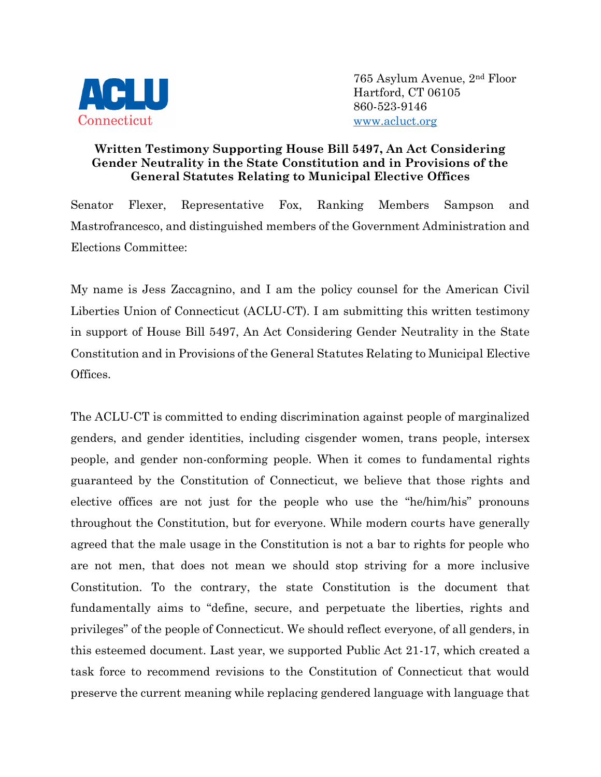

765 Asylum Avenue, 2nd Floor Hartford, CT 06105 860-523-9146 [www.acluct.org](http://www.acluct.org/)

## **Written Testimony Supporting House Bill 5497, An Act Considering Gender Neutrality in the State Constitution and in Provisions of the General Statutes Relating to Municipal Elective Offices**

Senator Flexer, Representative Fox, Ranking Members Sampson and Mastrofrancesco, and distinguished members of the Government Administration and Elections Committee:

My name is Jess Zaccagnino, and I am the policy counsel for the American Civil Liberties Union of Connecticut (ACLU-CT). I am submitting this written testimony in support of House Bill 5497, An Act Considering Gender Neutrality in the State Constitution and in Provisions of the General Statutes Relating to Municipal Elective Offices.

The ACLU-CT is committed to ending discrimination against people of marginalized genders, and gender identities, including cisgender women, trans people, intersex people, and gender non-conforming people. When it comes to fundamental rights guaranteed by the Constitution of Connecticut, we believe that those rights and elective offices are not just for the people who use the "he/him/his" pronouns throughout the Constitution, but for everyone. While modern courts have generally agreed that the male usage in the Constitution is not a bar to rights for people who are not men, that does not mean we should stop striving for a more inclusive Constitution. To the contrary, the state Constitution is the document that fundamentally aims to "define, secure, and perpetuate the liberties, rights and privileges" of the people of Connecticut. We should reflect everyone, of all genders, in this esteemed document. Last year, we supported Public Act 21-17, which created a task force to recommend revisions to the Constitution of Connecticut that would preserve the current meaning while replacing gendered language with language that